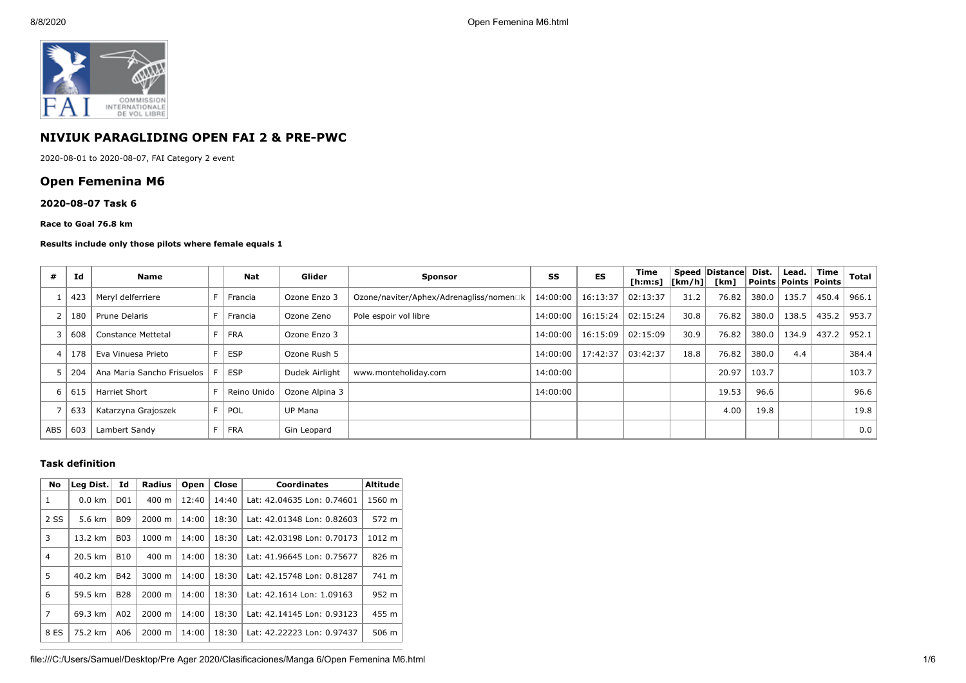

# **NIVIUK PARAGLIDING OPEN FAI 2 & PRE-PWC**

2020-08-01 to 2020-08-07, FAI Category 2 event

# **Open Femenina M6**

## **2020-08-07 Task 6**

### **Race to Goal 76.8 km**

### **Results include only those pilots where female equals 1**

|     | Id  | Name                       | <b>Nat</b>  | Glider         | <b>Sponsor</b>                          | SS       | <b>ES</b> | Time<br>[h:m:s] | $\lfloor \lfloor km/h \rfloor \rfloor$ | Speed   Distance  <br>[km] | Dist. | Lead.  <br>Points   Points   Points | Time  | Total |
|-----|-----|----------------------------|-------------|----------------|-----------------------------------------|----------|-----------|-----------------|----------------------------------------|----------------------------|-------|-------------------------------------|-------|-------|
|     | 423 | Meryl delferriere          | Francia     | Ozone Enzo 3   | Ozone/naviter/Aphex/Adrenagliss/nomen□k | 14:00:00 | 16:13:37  | 02:13:37        | 31.2                                   | 76.82                      | 380.0 | 135.7                               | 450.4 | 966.1 |
|     | 180 | Prune Delaris              | Francia     | Ozone Zeno     | Pole espoir vol libre                   | 14:00:00 | 16:15:24  | 02:15:24        | 30.8                                   | 76.82                      | 380.0 | 138.5                               | 435.2 | 953.7 |
|     | 608 | <b>Constance Mettetal</b>  | <b>FRA</b>  | Ozone Enzo 3   |                                         | 14:00:00 | 16:15:09  | 02:15:09        | 30.9                                   | 76.82                      | 380.0 | 134.9                               | 437.2 | 952.1 |
|     | 178 | Eva Vinuesa Prieto         | <b>ESP</b>  | Ozone Rush 5   |                                         | 14:00:00 | 17:42:37  | 03:42:37        | 18.8                                   | 76.82                      | 380.0 | 4.4                                 |       | 384.4 |
|     | 204 | Ana Maria Sancho Frisuelos | <b>ESP</b>  | Dudek Airlight | www.monteholiday.com                    | 14:00:00 |           |                 |                                        | 20.97                      | 103.7 |                                     |       | 103.7 |
| h   | 615 | Harriet Short              | Reino Unido | Ozone Alpina 3 |                                         | 14:00:00 |           |                 |                                        | 19.53                      | 96.6  |                                     |       | 96.6  |
|     | 633 | Katarzyna Grajoszek        | POL         | UP Mana        |                                         |          |           |                 |                                        | 4.00                       | 19.8  |                                     |       | 19.8  |
| ABS | 603 | Lambert Sandy              | <b>FRA</b>  | Gin Leopard    |                                         |          |           |                 |                                        |                            |       |                                     |       | 0.0   |

## **Task definition**

| <b>No</b>      | Leg Dist. | Id              | <b>Radius</b>      | Open  | Close | <b>Coordinates</b>         | <b>Altitude</b> |
|----------------|-----------|-----------------|--------------------|-------|-------|----------------------------|-----------------|
| 1              | $0.0$ km  | D <sub>01</sub> | $400 \text{ m}$    | 12:40 | 14:40 | Lat: 42.04635 Lon: 0.74601 | 1560 m          |
| 2 SS           | 5.6 km    | <b>B09</b>      | $2000 \; m$        | 14:00 | 18:30 | Lat: 42.01348 Lon: 0.82603 | 572 m           |
| 3              | 13.2 km   | <b>B03</b>      | $1000 \;{\rm m}$   | 14:00 | 18:30 | Lat: 42.03198 Lon: 0.70173 | 1012 m          |
| 4              | 20.5 km   | <b>B10</b>      | $400 \text{ m}$    | 14:00 | 18:30 | Lat: 41.96645 Lon: 0.75677 | 826 m           |
| 5              | 40.2 km   | <b>B42</b>      | 3000 m             | 14:00 | 18:30 | Lat: 42.15748 Lon: 0.81287 | 741 m           |
| 6              | 59.5 km   | <b>B28</b>      | $2000 \; m$        | 14:00 | 18:30 | Lat: 42.1614 Lon: 1.09163  | 952 m           |
| $\overline{7}$ | 69.3 km   | A02             | $2000 \; \text{m}$ | 14:00 | 18:30 | Lat: 42.14145 Lon: 0.93123 | 455 m           |
| 8 ES           | 75.2 km   | A06             | $2000 \; \text{m}$ | 14:00 | 18:30 | Lat: 42.22223 Lon: 0.97437 | 506 m           |

file:///C:/Users/Samuel/Desktop/Pre Ager 2020/Clasificaciones/Manga 6/Open Femenina M6.html 1/6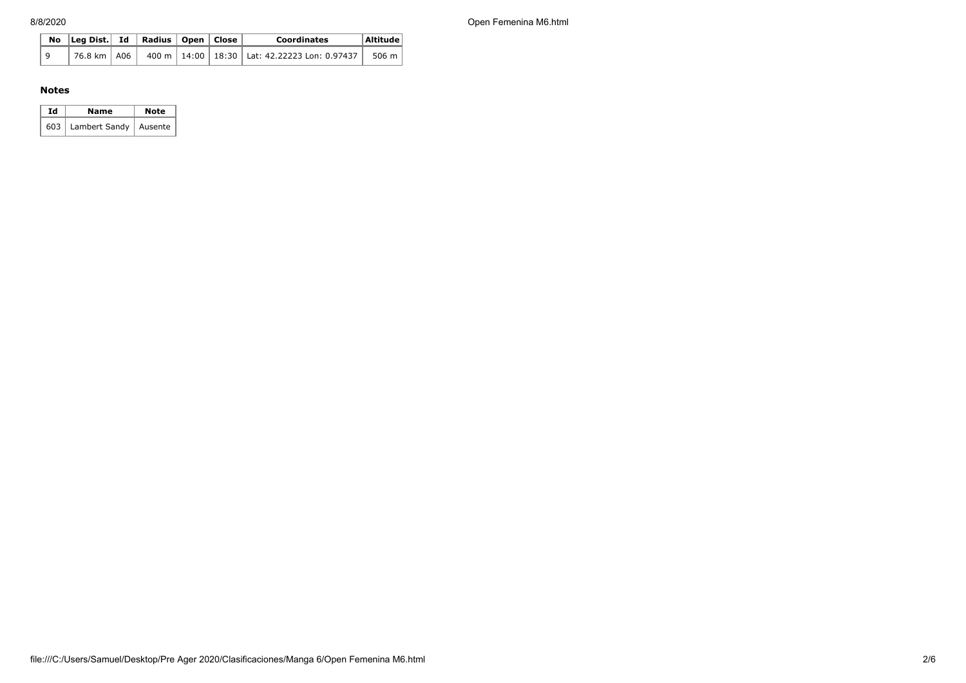8/8/2020 Open Femenina M6.html

|   | No Leg Dist. Id   Radius   Open   Close |  |  | <b>Coordinates</b>                                                                                                         | Altitude |
|---|-----------------------------------------|--|--|----------------------------------------------------------------------------------------------------------------------------|----------|
| 9 |                                         |  |  | $\frac{1}{26.8}$ km $\vert$ A06 $\vert$ 400 m $\vert$ 14:00 $\vert$ 18:30 $\vert$ Lat: 42.22223 Lon: 0.97437 $\vert$ 506 m |          |

## **Notes**

| Ιd | Name                          | Note |  |  |
|----|-------------------------------|------|--|--|
|    | 603   Lambert Sandy   Ausente |      |  |  |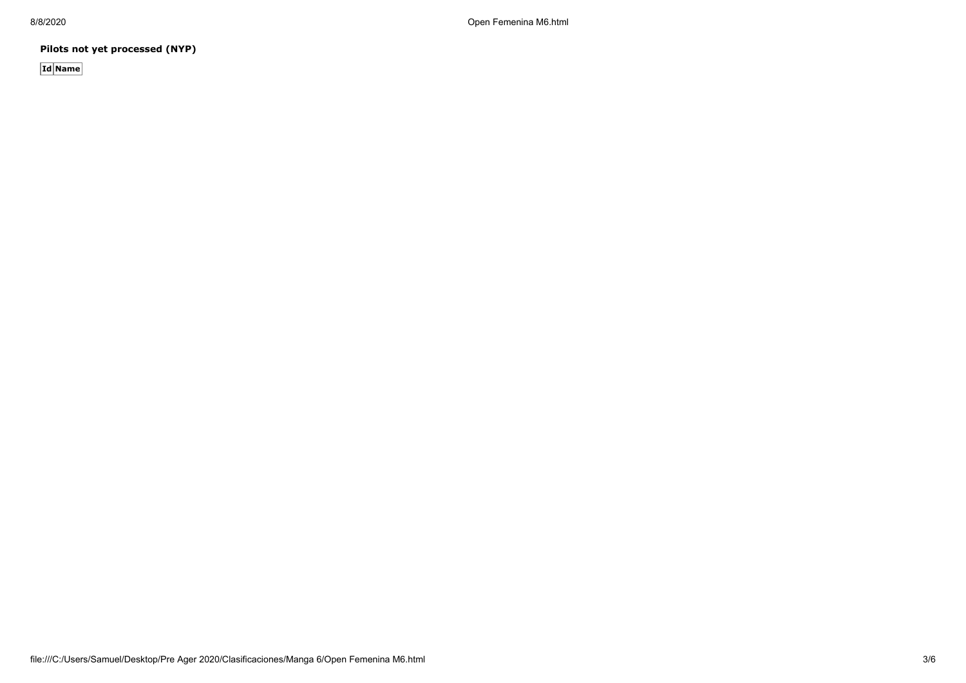8/8/2020 Open Femenina M6.html

**Pilots not yet processed (NYP)**

**Id Name**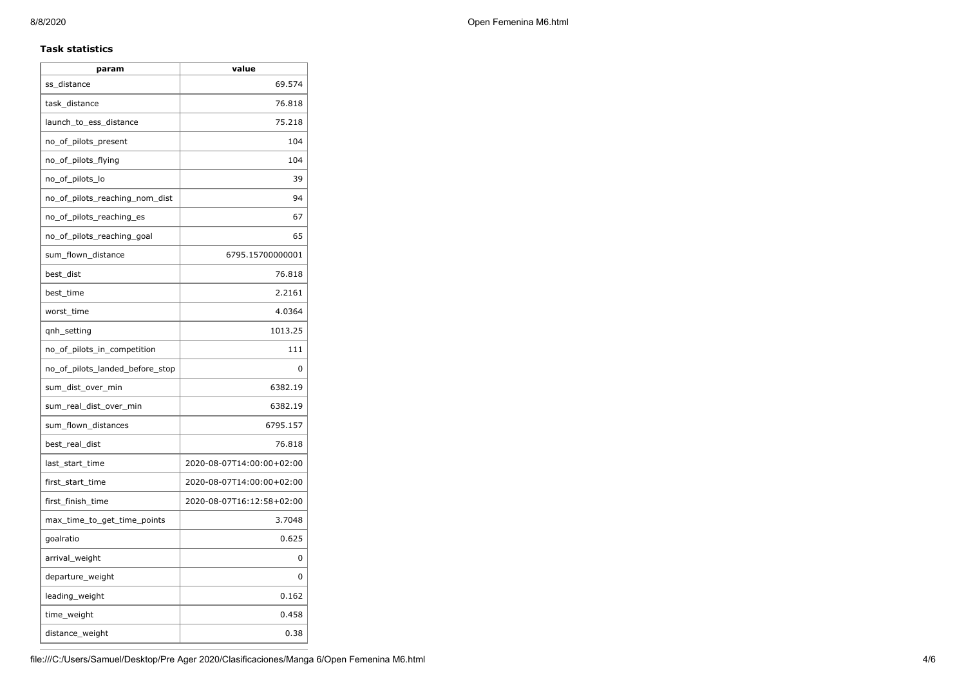# **Task statistics**

| param                           | value                     |
|---------------------------------|---------------------------|
| ss_distance                     | 69.574                    |
| task_distance                   | 76.818                    |
| launch_to_ess_distance          | 75.218                    |
| no_of_pilots_present            | 104                       |
| no_of_pilots_flying             | 104                       |
| no_of_pilots_lo                 | 39                        |
| no_of_pilots_reaching_nom_dist  | 94                        |
| no_of_pilots_reaching_es        | 67                        |
| no_of_pilots_reaching_goal      | 65                        |
| sum_flown_distance              | 6795.15700000001          |
| best dist                       | 76.818                    |
| best_time                       | 2.2161                    |
| worst_time                      | 4.0364                    |
| gnh_setting                     | 1013.25                   |
| no_of_pilots_in_competition     | 111                       |
| no_of_pilots_landed_before_stop | 0                         |
| sum_dist_over_min               | 6382.19                   |
| sum_real_dist_over_min          | 6382.19                   |
| sum_flown_distances             | 6795.157                  |
| best_real_dist                  | 76.818                    |
| last_start_time                 | 2020-08-07T14:00:00+02:00 |
| first_start_time                | 2020-08-07T14:00:00+02:00 |
| first_finish_time               | 2020-08-07T16:12:58+02:00 |
| max_time_to_get_time_points     | 3.7048                    |
| goalratio                       | 0.625                     |
| arrival_weight                  | 0                         |
| departure_weight                | 0                         |
| leading_weight                  | 0.162                     |
| time_weight                     | 0.458                     |
| distance_weight                 | 0.38                      |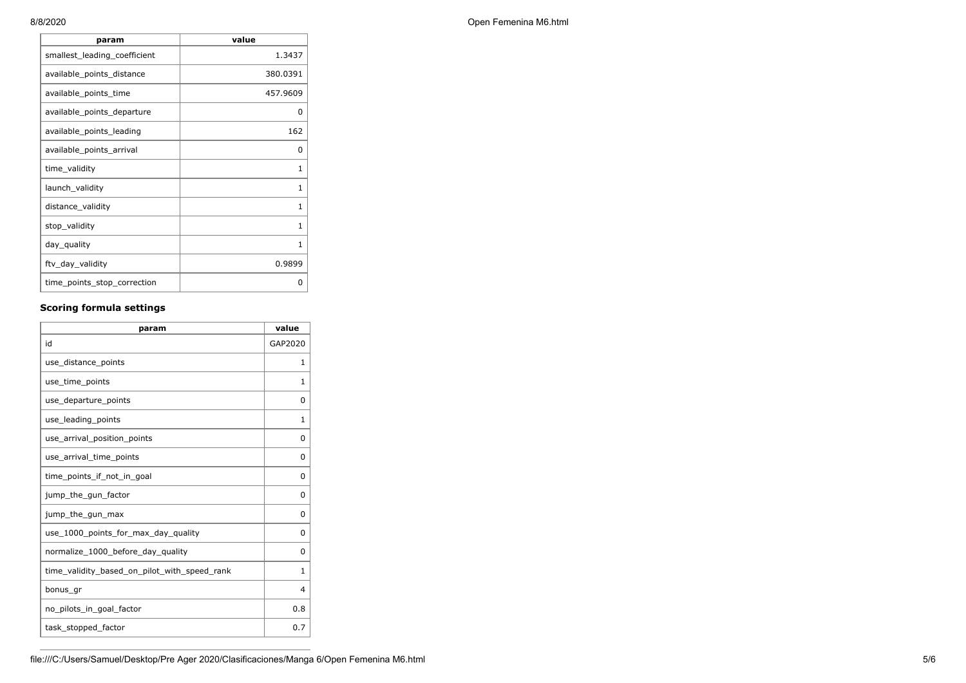| param                        | value    |
|------------------------------|----------|
| smallest_leading_coefficient | 1.3437   |
| available_points_distance    | 380.0391 |
| available_points_time        | 457.9609 |
| available_points_departure   | O        |
| available_points_leading     | 162      |
| available_points_arrival     | 0        |
| time_validity                | 1        |
| launch_validity              | 1        |
| distance_validity            | 1        |
| stop_validity                | 1        |
| day_quality                  | 1        |
| ftv_day_validity             | 0.9899   |
| time_points_stop_correction  | O        |

# **Scoring formula settings**

| param                                        | value       |
|----------------------------------------------|-------------|
| id                                           | GAP2020     |
| use_distance_points                          | 1           |
| use_time_points                              | 1           |
| use_departure_points                         | $\Omega$    |
| use leading points                           | 1           |
| use_arrival_position_points                  | $\mathbf 0$ |
| use_arrival_time_points                      | 0           |
| time points if not in goal                   | $\Omega$    |
| jump_the_gun_factor                          | $\Omega$    |
| jump_the_gun_max                             | 0           |
| use_1000_points_for_max_day_quality          | $\Omega$    |
| normalize_1000_before_day_quality            | 0           |
| time_validity_based_on_pilot_with_speed_rank | 1           |
| bonus_gr                                     | 4           |
| no_pilots_in_goal_factor                     | 0.8         |
| task_stopped_factor                          | 0.7         |